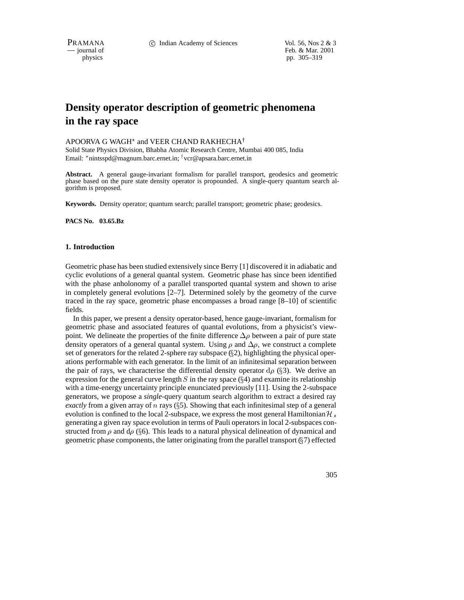PRAMANA 
<sup>c</sup> Indian Academy of Sciences Vol. 56, Nos 2 & 3<br>  $-$  journal of Feb. & Mar. 2001 Feb. & Mar. 2001 physics pp. 305–319

# **Density operator description of geometric phenomena in the ray space**

## APOORVA G WAGH $^\ast$  and VEER CHAND RAKHECHA $^\dagger$

Solid State Physics Division, Bhabha Atomic Research Centre, Mumbai 400 085, India Email: \*nintsspd@magnum.barc.ernet.in; <sup>†</sup> vcr@apsara.barc.ernet.in

**Abstract.** A general gauge-invariant formalism for parallel transport, geodesics and geometric phase based on the pure state density operator is propounded. A single-query quantum search algorithm is proposed.

**Keywords.** Density operator; quantum search; parallel transport; geometric phase; geodesics.

**PACS No. 03.65.Bz**

#### **1. Introduction**

Geometric phase has been studied extensively since Berry [1] discovered it in adiabatic and cyclic evolutions of a general quantal system. Geometric phase has since been identified with the phase anholonomy of a parallel transported quantal system and shown to arise in completely general evolutions [2–7]. Determined solely by the geometry of the curve traced in the ray space, geometric phase encompasses a broad range [8–10] of scientific fields.

In this paper, we present a density operator-based, hence gauge-invariant, formalism for geometric phase and associated features of quantal evolutions, from a physicist's viewpoint. We delineate the properties of the finite difference  $\Delta \rho$  between a pair of pure state density operators of a general quantal system. Using  $\rho$  and  $\Delta \rho$ , we construct a complete set of generators for the related 2-sphere ray subspace  $(\S 2)$ , highlighting the physical operations performable with each generator. In the limit of an infinitesimal separation between the pair of rays, we characterise the differential density operator  $d\rho$  (§3). We derive an expression for the general curve length  $S$  in the ray space ( $\S 4$ ) and examine its relationship with a time-energy uncertainty principle enunciated previously [11]. Using the 2-subspace generators, we propose a *single*-query quantum search algorithm to extract a desired ray *exactly* from a given array of  $n$  rays ( $\S$ 5). Showing that each infinitesimal step of a general evolution is confined to the local 2-subspace, we express the most general Hamiltonian  $\mathcal{H}_s$ generating a given ray space evolution in terms of Pauli operators in local 2-subspaces constructed from  $\rho$  and  $d\rho$  (§6). This leads to a natural physical delineation of dynamical and geometric phase components, the latter originating from the parallel transport  $(\S7)$  effected

305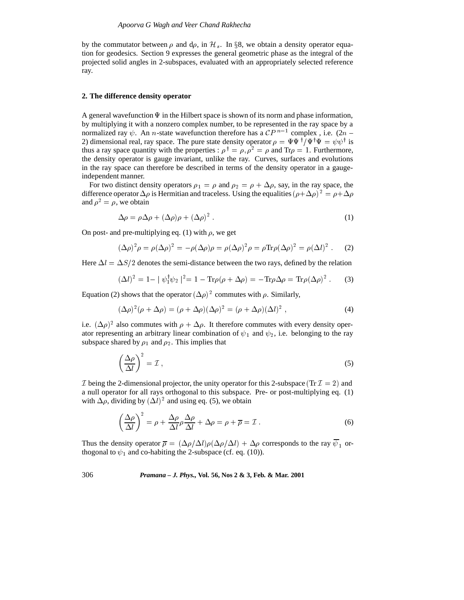by the commutator between  $\rho$  and d $\rho$ , in  $\mathcal{H}_s$ . In §8, we obtain a density operator equation for geodesics. Section 9 expresses the general geometric phase as the integral of the projected solid angles in 2-subspaces, evaluated with an appropriately selected reference ray.

## **2. The difference density operator**

A general wavefunction  $\Psi$  in the Hilbert space is shown of its norm and phase information, by multiplying it with a nonzero complex number, to be represented in the ray space by a normalized ray  $\psi$ . An *n*-state wavefunction therefore has a  $\mathcal{CP}^{n-1}$  complex, i.e.  $(2n -$ 2) dimensional real, ray space. The pure state density operator  $\rho = \Psi \Psi^{\dagger} / \Psi^{\dagger} \Psi = \psi \psi^{\dagger}$  is thus a ray space quantity with the properties :  $\rho^{\dagger} = \rho$ ,  $\rho^2 = \rho$  and Tr $\rho = 1$ . Furthermore, the density operator is gauge invariant, unlike the ray. Curves, surfaces and evolutions in the ray space can therefore be described in terms of the density operator in a gaugeindependent manner.

For two distinct density operators  $\rho_1 = \rho$  and  $\rho_2 = \rho + \Delta \rho$ , say, in the ray space, the difference operator  $\Delta \rho$  is Hermitian and traceless. Using the equalities  $(\rho + \Delta \rho)^2 = \rho + \Delta \rho$ and  $\rho^2 = \rho$ , we obtain

$$
\Delta \rho = \rho \Delta \rho + (\Delta \rho) \rho + (\Delta \rho)^2 \,. \tag{1}
$$

On post- and pre-multiplying eq. (1) with  $\rho$ , we get

$$
(\Delta \rho)^2 \rho = \rho (\Delta \rho)^2 = -\rho (\Delta \rho) \rho = \rho (\Delta \rho)^2 \rho = \rho \text{Tr} \rho (\Delta \rho)^2 = \rho (\Delta l)^2.
$$
 (2)

Here  $\Delta l = \Delta S/2$  denotes the semi-distance between the two rays, defined by the relation

$$
(\Delta l)^2 = 1 - |\psi_1^\dagger \psi_2|^2 = 1 - \text{Tr}\rho(\rho + \Delta \rho) = -\text{Tr}\rho \Delta \rho = \text{Tr}\rho(\Delta \rho)^2. \tag{3}
$$
  
Equation (2) shows that the operator  $(\Delta \rho)^2$  commutes with  $\rho$ . Similarly,

$$
(\Delta \rho)^2 (\rho + \Delta \rho) = (\rho + \Delta \rho)(\Delta \rho)^2 = (\rho + \Delta \rho)(\Delta l)^2, \qquad (4)
$$

i.e.  $({\Delta \rho})^2$  also commutes with  $\rho + {\Delta \rho}$ . It therefore commutes with every density operator representing an arbitrary linear combination of  $\psi_1$  and  $\psi_2$ , i.e. belonging to the ray subspace shared by  $\rho_1$  and  $\rho_2$ . This implies that

$$
\left(\frac{\Delta \rho}{\Delta l}\right)^2 = \mathcal{I} \,,\tag{5}
$$

 $\mathcal I$  being the 2-dimensional projector, the unity operator for this 2-subspace (Tr $\mathcal I = 2$ ) and a null operator for all rays orthogonal to this subspace. Pre- or post-multiplying eq. (1) with  $\Delta \rho$ , dividing by  $(\Delta l)^2$  and using eq. (5), we obtain

$$
\left(\frac{\Delta\rho}{\Delta l}\right)^2 = \rho + \frac{\Delta\rho}{\Delta l}\rho\frac{\Delta\rho}{\Delta l} + \Delta\rho = \rho + \overline{\rho} = \mathcal{I} \,. \tag{6}
$$

Thus the density operator  $\bar{\rho} = (\Delta \rho/\Delta l)\rho(\Delta \rho/\Delta l) + \Delta \rho$  corresponds to the ray  $\bar{\psi}_1$  orthogonal to  $\psi_1$  and co-habiting the 2-subspace (cf. eq. (10)).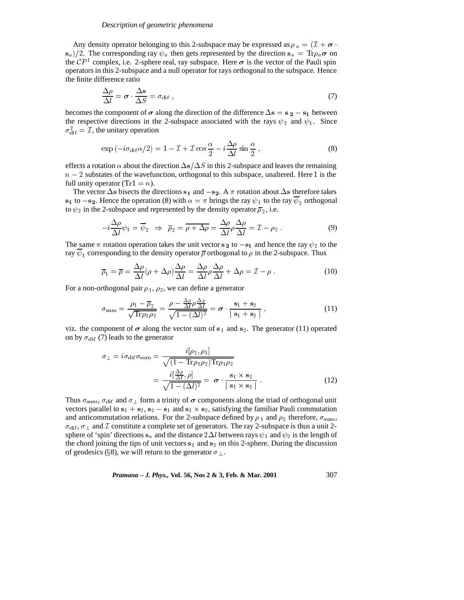## *Description of geometric phenomena*

Any density operator belonging to this 2-subspace may be expressed as  $\rho_a = (\mathcal{I} + \sigma \cdot \mathcal{I})$  $s_a/2$ . The corresponding ray  $\psi_a$  then gets represented by the direction  $s_a = Tr \rho_a \sigma$  on the  $\mathcal{C}P<sup>1</sup>$  complex, i.e. 2-sphere real, ray subspace. Here  $\sigma$  is the vector of the Pauli spin operators in this 2-subspace and a null operator for rays orthogonal to the subspace. Hence the finite difference ratio

$$
\frac{\Delta \rho}{\Delta l} = \boldsymbol{\sigma} \cdot \frac{\Delta \mathbf{s}}{\Delta S} = \sigma_{\text{dif}} \,, \tag{7}
$$

becomes the component of  $\sigma$  along the direction of the difference  $\Delta s = s_2 - s_1$  between the respective directions in the 2-subspace associated with the rays  $\psi_2$  and  $\psi_1$ . Since  $\sigma_{\text{dif}}^2 = \mathcal{I}$ , the unitary operation

$$
\exp(-i\sigma_{\text{dif}}\alpha/2) = 1 - \mathcal{I} + \mathcal{I}\cos\frac{\alpha}{2} - i\frac{\Delta\rho}{\Delta l}\sin\frac{\alpha}{2},\tag{8}
$$
  
effects a rotation  $\alpha$  about the direction  $\Delta s/\Delta S$  in this 2-subspace and leaves the remaining

 $n-2$  substates of the wavefunction, orthogonal to this subspace, unaltered. Here 1 is the full unity operator (Tr1 =  $n$ ).

The vector  $\Delta s$  bisects the directions s<sub>1</sub> and  $-s_2$ . A  $\pi$  rotation about  $\Delta s$  therefore takes s<sub>1</sub> to  $-s_2$ . Hence the operation (8) with  $\alpha = \pi$  brings the ray  $\psi_1$  to the ray  $\overline{\psi}_2$  orthogonal to  $\psi_2$  in the 2-subspace and represented by the density operator  $\overline{\rho}_2$ , i.e.

$$
-i\frac{\Delta\rho}{\Delta l}\psi_1 = \overline{\psi}_2 \Rightarrow \overline{\rho}_2 = \overline{\rho + \Delta\rho} = \frac{\Delta\rho}{\Delta l}\rho\frac{\Delta\rho}{\Delta l} = \mathcal{I} - \rho_2.
$$
 (9)  
The same  $\pi$  rotation operation takes the unit vector  $\mathbf{s}_2$  to  $-\mathbf{s}_1$  and hence the ray  $\psi_2$  to the

ray  $\psi_1$  corresponding to the density operator  $\overline{\rho}$  orthogonal to  $\rho$  in the 2-subspace. Thus

$$
\overline{\rho}_1 = \overline{\rho} = \frac{\Delta \rho}{\Delta l} (\rho + \Delta \rho) \frac{\Delta \rho}{\Delta l} = \frac{\Delta \rho}{\Delta l} \rho \frac{\Delta \rho}{\Delta l} + \Delta \rho = \mathcal{I} - \rho.
$$
 (10)  
orthogonal pair  $\rho_1$ ,  $\rho_2$  we can define a generator

For a non-orthogonal pair  $\rho_1$ ,  $\rho_2$ , we can define a generator

$$
\sigma_{\text{sum}} = \frac{\rho_1 - \overline{\rho}_2}{\sqrt{\text{Tr}\rho_1 \rho_2}} = \frac{\rho - \frac{\Delta \rho}{\Delta l} \rho \frac{\Delta \rho}{\Delta l}}{\sqrt{1 - (\Delta l)^2}} = \sigma \cdot \frac{s_1 + s_2}{|s_1 + s_2|},
$$
\n(11)

viz. the component of  $\sigma$  along the vector sum of s<sub>1</sub> and s<sub>2</sub>. The generator (11) operated on by  $\sigma_{\text{dif}}$  (7) leads to the generator

$$
\sigma_{\perp} = i\sigma_{\text{dif}}\sigma_{\text{sum}} = \frac{i[\rho_2, \rho_1]}{\sqrt{(1 - \text{Tr}\rho_1 \rho_2)\text{Tr}\rho_1 \rho_2}} = \frac{i[\frac{\Delta \rho}{\Delta l}, \rho]}{\sqrt{1 - (\Delta l)^2}} = \sigma \cdot \frac{\mathbf{s}_1 \times \mathbf{s}_2}{|\mathbf{s}_1 \times \mathbf{s}_2|}.
$$
\n(12)

Thus  $\sigma_{\text{sum}}$ ,  $\sigma_{\text{dif}}$  and  $\sigma_{\perp}$  form a trinity of  $\sigma$  components along the triad of orthogonal unit vectors parallel to  $s_1 + s_2$ ,  $s_2 - s_1$  and  $s_1 \times s_2$ , satisfying the familiar Pauli commutation and anticommutation relations. For the 2-subspace defined by  $\rho_1$  and  $\rho_2$  therefore,  $\sigma_{\text{sum}}$ ,  $\sigma_{\text{dif}}$ ,  $\sigma_{\perp}$  and  $\mathcal I$  constitute a complete set of generators. The ray 2-subspace is thus a unit 2sphere of 'spin' directions s<sub>a</sub> and the distance  $2\Delta l$  between rays  $\psi_1$  and  $\psi_2$  is the length of the chord joining the tips of unit vectors  $s_1$  and  $s_2$  on this 2-sphere. During the discussion of geodesics (§8), we will return to the generator  $\sigma_{\perp}$ .

*Pramana – J. Phys.,* **Vol. 56, Nos 2 & 3, Feb. & Mar. 2001** 307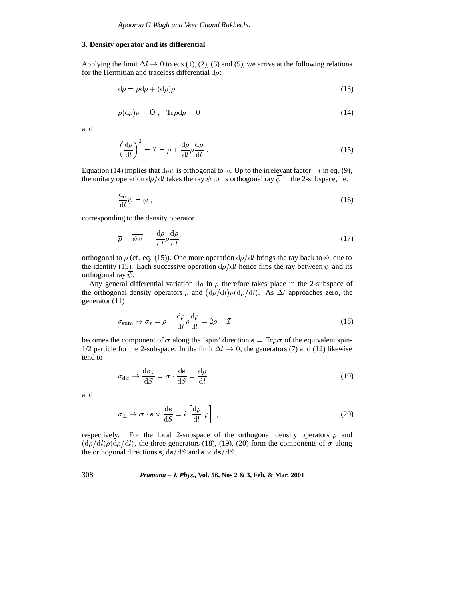## **3. Density operator and its differential**

Applying the limit  $\Delta l \rightarrow 0$  to eqs (1), (2), (3) and (5), we arrive at the following relations for the Hermitian and traceless differential  $d\rho$ :

$$
d\rho = \rho d\rho + (d\rho)\rho \,,\tag{13}
$$

$$
\rho(\mathrm{d}\rho)\rho = 0, \quad \mathrm{Tr}\rho \mathrm{d}\rho = 0 \tag{14}
$$

and

$$
\left(\frac{\mathrm{d}\rho}{\mathrm{d}l}\right)^2 = \mathcal{I} = \rho + \frac{\mathrm{d}\rho}{\mathrm{d}l} \rho \frac{\mathrm{d}\rho}{\mathrm{d}l} \,. \tag{15}
$$

Equation (14) implies that  $d\rho\psi$  is orthogonal to  $\psi$ . Up to the irrelevant factor  $-i$  in eq. (9), the unitary operation  $d\rho/dl$  takes the ray  $\psi$  to its orthogonal ray  $\overline{\psi}$  in the 2-subspace, i.e.

$$
\frac{\mathrm{d}\rho}{\mathrm{d}l}\psi = \overline{\psi}\,,\tag{16}
$$

corresponding to the density operator

$$
\overline{\rho} = \overline{\psi}\overline{\psi}^{\dagger} = \frac{d\rho}{dl}\rho\frac{d\rho}{dl},\qquad(17)
$$

orthogonal to  $\rho$  (cf. eq. (15)). One more operation  $d\rho/dl$  brings the ray back to  $\psi$ , due to the identity (15). Each successive operation  $d\rho/dl$  hence flips the ray between  $\psi$  and its orthogonal ray  $\overline{\psi}$ .

Any general differential variation  $d\rho$  in  $\rho$  therefore takes place in the 2-subspace of the orthogonal density operators  $\rho$  and  $(d\rho/dl)\rho(d\rho/dl)$ . As  $\Delta l$  approaches zero, the generator (11)

$$
\sigma_{\text{sum}} \to \sigma_s = \rho - \frac{d\rho}{dl} \rho \frac{d\rho}{dl} = 2\rho - \mathcal{I},
$$
\n
$$
\text{becomes the component of } \sigma \text{ along the 'spin' direction s} = \text{Tr}\rho\sigma \text{ of the equivalent spin-}
$$

1/2 particle for the 2-subspace. In the limit  $\Delta l \rightarrow 0$ , the generators (7) and (12) likewise tend to

$$
\sigma_{\text{dif}} \rightarrow \frac{\text{d}\sigma_s}{\text{d}S} = \boldsymbol{\sigma} \cdot \frac{\text{ds}}{\text{d}S} = \frac{\text{d}\rho}{\text{d}l} \tag{19}
$$

and

$$
\sigma_{\perp} \to \sigma \cdot s \times \frac{ds}{dS} = i \left[ \frac{d\rho}{dl}, \rho \right] , \qquad (20)
$$

respectively. For the local 2-subspace of the orthogonal density operators  $\rho$  and  $(d\rho/dl)\rho(d\rho/dl)$ , the three generators (18), (19), (20) form the components of  $\sigma$  along the orthogonal directions s,  $ds/dS$  and s  $\times ds/dS$ .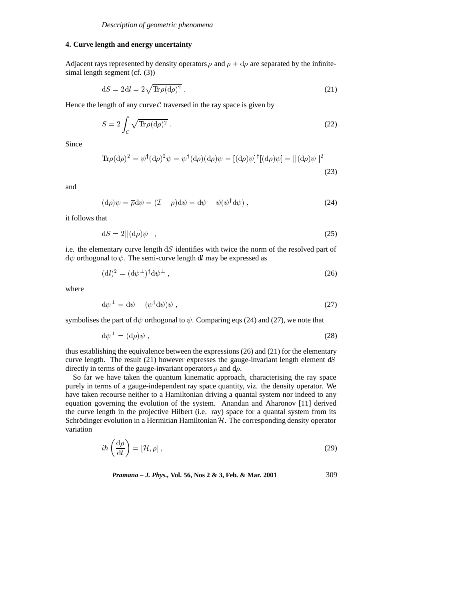# **4. Curve length and energy uncertainty**

Adjacent rays represented by density operators  $\rho$  and  $\rho + d\rho$  are separated by the infinitesimal length segment (cf. (3))

$$
dS = 2dl = 2\sqrt{\text{Tr}\rho(d\rho)^2} \,. \tag{21}
$$

Hence the length of any curve  $C$  traversed in the ray space is given by

$$
S = 2 \int_{\mathcal{C}} \sqrt{\text{Tr}\rho(\text{d}\rho)^2} \,. \tag{22}
$$

Since

$$
\mathrm{Tr}\rho(\mathrm{d}\rho)^{2} = \psi^{\dagger}(\mathrm{d}\rho)^{2}\psi = \psi^{\dagger}(\mathrm{d}\rho)(\mathrm{d}\rho)\psi = [(\mathrm{d}\rho)\psi]^{\dagger}[(\mathrm{d}\rho)\psi] = ||(\mathrm{d}\rho)\psi||^{2}
$$
\n(23)

and

$$
(\mathrm{d}\rho)\psi = \overline{\rho}\mathrm{d}\psi = (\mathcal{I} - \rho)\mathrm{d}\psi = \mathrm{d}\psi - \psi(\psi^{\dagger}\mathrm{d}\psi) , \qquad (24)
$$
at

it follows that

$$
\mathrm{d}S = 2||(\mathrm{d}\rho)\psi||\,,\tag{25}
$$

i.e. the elementary curve length  $dS$  identifies with twice the norm of the resolved part of  $d\psi$  orthogonal to  $\psi$ . The semi-curve length dl may be expressed as

$$
(\mathrm{d}l)^2 = (\mathrm{d}\psi^\perp)^\dagger \mathrm{d}\psi^\perp \,,\tag{26}
$$

where

$$
\mathrm{d}\psi^{\perp} = \mathrm{d}\psi - (\psi^{\dagger}\mathrm{d}\psi)\psi\,,\tag{27}
$$

symbolises the part of  $d\psi$  orthogonal to  $\psi$ . Comparing eqs (24) and (27), we note that

$$
\mathrm{d}\psi^{\perp} = (\mathrm{d}\rho)\psi\,,\tag{28}
$$

thus establishing the equivalence between the expressions (26) and (21) for the elementary curve length. The result  $(21)$  however expresses the gauge-invariant length element  $dS$ directly in terms of the gauge-invariant operators  $\rho$  and  $d\rho$ .

So far we have taken the quantum kinematic approach, characterising the ray space purely in terms of a gauge-independent ray space quantity, viz. the density operator. We have taken recourse neither to a Hamiltonian driving a quantal system nor indeed to any equation governing the evolution of the system. Anandan and Aharonov [11] derived the curve length in the projective Hilbert (i.e. ray) space for a quantal system from its Schrödinger evolution in a Hermitian Hamiltonian  $H$ . The corresponding density operator variation

$$
i\hbar \left(\frac{\mathrm{d}\rho}{\mathrm{d}t}\right) = [\mathcal{H}, \rho] \,, \tag{29}
$$

*Pramana – J. Phys.,* **Vol. 56, Nos 2 & 3, Feb. & Mar. 2001** 309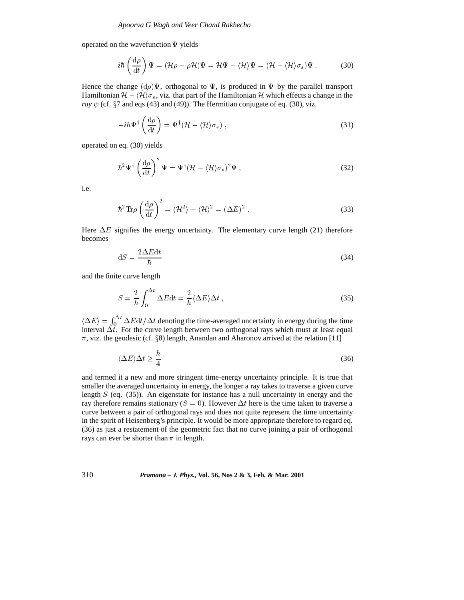operated on the wavefunction  $\Psi$  yields

$$
i\hbar \left(\frac{\mathrm{d}\rho}{\mathrm{d}t}\right)\Psi = (\mathcal{H}\rho - \rho\mathcal{H})\Psi = \mathcal{H}\Psi - \langle \mathcal{H} \rangle\Psi = (\mathcal{H} - \langle \mathcal{H} \rangle \sigma_s)\Psi. \tag{30}
$$

Hence the change  $(d\rho)\Psi$ , orthogonal to  $\Psi$ , is produced in  $\Psi$  by the parallel transport Hamiltonian  $\mathcal{H} - \langle \mathcal{H} \rangle \sigma_s$ , viz. that part of the Hamiltonian H which effects a change in the *ray*  $\psi$  (cf.  $\S 7$  and eqs (43) and (49)). The Hermitian conjugate of eq. (30), viz.

$$
-i\hbar\Psi^{\dagger}\left(\frac{\mathrm{d}\rho}{\mathrm{d}t}\right) = \Psi^{\dagger}(\mathcal{H} - \langle \mathcal{H} \rangle \sigma_s) , \qquad (31)
$$

operated on eq. (30) yields

$$
\hbar^2 \Psi^{\dagger} \left(\frac{\mathrm{d}\rho}{\mathrm{d}t}\right)^2 \Psi = \Psi^{\dagger} (\mathcal{H} - \langle \mathcal{H} \rangle \sigma_s)^2 \Psi , \qquad (32)
$$

i.e.

$$
\hbar^2 \text{Tr} \rho \left(\frac{\text{d}\rho}{\text{d}t}\right)^2 = \langle \mathcal{H}^2 \rangle - \langle \mathcal{H} \rangle^2 = (\Delta E)^2.
$$
 (33)

Here  $\Delta E$  signifies the energy uncertainty. The elementary curve length (21) therefore becomes

$$
dS = \frac{2\Delta E dt}{\hbar} \tag{34}
$$

and the finite curve length

$$
S = \frac{2}{\hbar} \int_0^{\Delta t} \Delta E dt = \frac{2}{\hbar} \langle \Delta E \rangle \Delta t , \qquad (35)
$$

 $\langle \Delta E \rangle = \int_0^{\Delta t} \Delta E dt / \Delta t$  denoting the time-averaged uncertainty in energy during the time interval  $\Delta t$ . For the curve length between two orthogonal rays which must at least equal  $\pi$ , viz. the geodesic (cf. §8) length, Anandan and Aharonov arrived at the relation [11]

$$
\langle \Delta E \rangle \Delta t \ge \frac{h}{4} \tag{36}
$$

and termed it a new and more stringent time-energy uncertainty principle. It is true that smaller the averaged uncertainty in energy, the longer a ray takes to traverse a given curve length  $S$  (eq. (35)). An eigenstate for instance has a null uncertainty in energy and the ray therefore remains stationary ( $S = 0$ ). However  $\Delta t$  here is the time taken to traverse a curve between a pair of orthogonal rays and does not quite represent the time uncertainty in the spirit of Heisenberg's principle. It would be more appropriate therefore to regard eq. (36) as just a restatement of the geometric fact that no curve joining a pair of orthogonal rays can ever be shorter than  $\pi$  in length.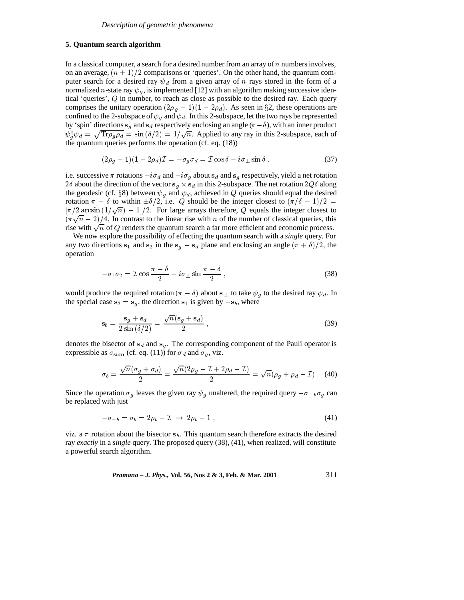# **5. Quantum search algorithm**

In a classical computer, a search for a desired number from an array of  $n$  numbers involves, on an average,  $(n + 1)/2$  comparisons or 'queries'. On the other hand, the quantum computer search for a desired ray  $\psi_d$  from a given array of n rays stored in the form of a normalized *n*-state ray  $\psi_g$ , is implemented [12] with an algorithm making successive identical 'queries', <sup>Q</sup> in number, to reach as close as possible to the desired ray. Each query comprises the unitary operation  $(2\rho_g - 1)(1 - 2\rho_d)$ . As seen in §2, these operations are confined to the 2-subspace of  $\psi_g$  and  $\psi_d$ . In this 2-subspace, let the two rays be represented by 'spin' directions  $s<sub>q</sub>$  and  $s<sub>d</sub>$  respectively enclosing an angle  $(\pi - \delta)$ , with an inner product  $\psi_a^{\dagger} \psi_a = \sqrt{\text{Tr} \rho_a \rho_a} = \sin (\delta/2) = 1/\sqrt{n}$ . Applied to any ray in this 2-subspace, each of the quantum queries performs the operation (cf. eq. (18))

$$
(2\rho_g - 1)(1 - 2\rho_d)\mathcal{I} = -\sigma_g \sigma_d = \mathcal{I}\cos\delta - i\sigma_\perp\sin\delta\,,\tag{37}
$$

i.e. successive  $\pi$  rotations  $-i\sigma_d$  and  $-i\sigma_g$  about  $s_d$  and  $s_g$  respectively, yield a net rotation 2 $\delta$  about the direction of the vector s<sub>q</sub>  $\times$  s<sub>d</sub> in this 2-subspace. The net rotation 2 $Q\delta$  along the geodesic (cf. §8) between  $\psi_g$  and  $\psi_d$ , achieved in Q queries should equal the desired rotation  $\pi - \delta$  to within  $\pm \delta/2$ , i.e. Q should be the integer closest to  $(\pi/\delta - 1)/2 =$  $\left[\pi/2 \arcsin\left(1/\sqrt{n}\right) - 1\right]/2$ . For large arrays therefore, Q equals the integer closest to  $(\pi\sqrt{n}-2)/4$ . In contrast to the linear rise with n of the number of classical queries, this rise with  $\sqrt{n}$  of Q renders the quantum search a far more efficient and economic process.

We now explore the possibility of effecting the quantum search with a *single* query. For any two directions s<sub>1</sub> and s<sub>2</sub> in the s<sub>q</sub>  $-$  s<sub>d</sub> plane and enclosing an angle  $(\pi + \delta)/2$ , the operation

$$
-\sigma_1 \sigma_2 = \mathcal{I} \cos \frac{\pi - \delta}{2} - i \sigma_\perp \sin \frac{\pi - \delta}{2} , \qquad (38)
$$

would produce the required rotation  $(\pi - \delta)$  about s  $\perp$  to take  $\psi_g$  to the desired ray  $\psi_d$ . In the special case  $s_2 = s_g$ , the direction  $s_1$  is given by  $-s_b$ , where

$$
\mathbf{s}_b = \frac{\mathbf{s}_g + \mathbf{s}_d}{2\sin\left(\delta/2\right)} = \frac{\sqrt{n}(\mathbf{s}_g + \mathbf{s}_d)}{2} \,,\tag{39}
$$

denotes the bisector of  $s_d$  and  $s_g$ . The corresponding component of the Pauli operator is expressible as  $\sigma_{\text{sum}}$  (cf. eq. (11)) for  $\sigma_d$  and  $\sigma_g$ , viz.

$$
\sigma_b = \frac{\sqrt{n}(\sigma_g + \sigma_d)}{2} = \frac{\sqrt{n}(2\rho_g - \mathcal{I} + 2\rho_d - \mathcal{I})}{2} = \sqrt{n}(\rho_g + \rho_d - \mathcal{I})
$$
 (40)

Since the operation  $\sigma_g$  leaves the given ray  $\psi_g$  unaltered, the required query  $-\sigma_{-b}\sigma_g$  can be replaced with just

$$
-\sigma_{-b} = \sigma_b = 2\rho_b - \mathcal{I} \rightarrow 2\rho_b - 1 \,, \tag{41}
$$

 $-\sigma_{-b} = \sigma_b = 2\rho_b - \mathcal{I} \rightarrow 2\rho_b - 1$ , (41)<br>viz. a  $\pi$  rotation about the bisector s<sub>b</sub>. This quantum search therefore extracts the desired ray *exactly* in a *single* query. The proposed query (38), (41), when realized, will constitute a powerful search algorithm.

*Pramana – J. Phys.,* **Vol. 56, Nos 2 & 3, Feb. & Mar. 2001** 311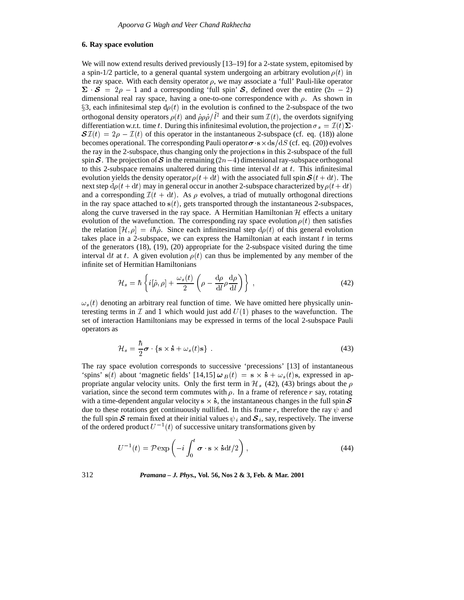# **6. Ray space evolution**

We will now extend results derived previously  $[13–19]$  for a 2-state system, epitomised by a spin-1/2 particle, to a general quantal system undergoing an arbitrary evolution  $\rho(t)$  in the ray space. With each density operator  $\rho$ , we may associate a 'full' Pauli-like operator  $\Sigma \cdot S = 2\rho - 1$  and a corresponding 'full spin' S, defined over the entire  $(2n - 2)$ dimensional real ray space, having a one-to-one correspondence with  $\rho$ . As shown in §3, each infinitesimal step  $d\rho(t)$  in the evolution is confined to the 2-subspace of the two orthogonal density operators  $\rho(t)$  and  $\dot{\rho}\rho\dot{\rho}/l^2$  and their sum  $\mathcal{I}(t)$ , the overdots signifying differentiation w.r.t. time t. During this infinitesimal evolution, the projection  $\sigma_s = \mathcal{I}(t)\Sigma$  $\mathcal{SI}(t) = 2\rho - \mathcal{I}(t)$  of this operator in the instantaneous 2-subspace (cf. eq. (18)) alone<br>becomes operational. The corresponding Pauli operator  $\sigma \cdot s \times ds/dS$  (cf. eq. (20)) evolves<br>the ray in the 2-subspace, thus chan the ray in the 2-subspace, thus changing only the projection <sup>s</sup> in this 2-subspace of the full spin S. The projection of S in the remaining  $(2n-4)$  dimensional ray-subspace orthogonal to this 2-subspace remains unaltered during this time interval  $dt$  at  $t$ . This infinitesimal evolution yields the density operator  $\rho(t + dt)$  with the associated full spin  $\mathcal{S}(t + dt)$ . The next step  $d\rho(t + dt)$  may in general occur in another 2-subspace characterized by  $\rho(t + dt)$ and a corresponding  $\mathcal{I}(t + dt)$ . As  $\rho$  evolves, a triad of mutually orthogonal directions in the ray space attached to  $s(t)$ , gets transported through the instantaneous 2-subspaces, along the curve traversed in the ray space. A Hermitian Hamiltonian  $H$  effects a unitary evolution of the wavefunction. The corresponding ray space evolution  $\rho(t)$  then satisfies the relation  $[\mathcal{H}, \rho] = i\hbar \dot{\rho}$ . Since each infinitesimal step  $d\rho(t)$  of this general evolution takes place in a 2-subspace, we can express the Hamiltonian at each instant  $t$  in terms of the generators (18), (19), (20) appropriate for the 2-subspace visited during the time interval dt at t. A given evolution  $\rho(t)$  can thus be implemented by any member of the infinite set of Hermitian Hamiltonians

$$
\mathcal{H}_s = \hbar \left\{ i[\dot{\rho}, \rho] + \frac{\omega_s(t)}{2} \left( \rho - \frac{d\rho}{dl} \rho \frac{d\rho}{dl} \right) \right\} , \qquad (42)
$$

 $\omega_s(t)$  denoting an arbitrary real function of time. We have omitted here physically uninteresting terms in  $\mathcal I$  and 1 which would just add  $U(1)$  phases to the wavefunction. The set of interaction Hamiltonians may be expressed in terms of the local 2-subspace Pauli operators as

$$
\mathcal{H}_s = \frac{\hbar}{2}\boldsymbol{\sigma} \cdot \{ \mathbf{s} \times \dot{\mathbf{s}} + \omega_s(t)\mathbf{s} \} \tag{43}
$$

The ray space evolution corresponds to successive 'precessions' [13] of instantaneous 'spins' s(t) about 'magnetic fields' [14,15]  $\omega_B(t) = s \times \dot{s} + \omega_s(t)$ s, expressed in appropriate angular velocity units. Only the first term in  $\mathcal{H}_s$  (42), (43) brings about the  $\rho$ variation, since the second term commutes with  $\rho$ . In a frame of reference r say, rotating with a time-dependent angular velocity  $s \times \dot{s}$ , the instantaneous changes in the full spin  $S$ due to these rotations get continuously nullified. In this frame r, therefore the ray  $\psi$  and the full spin S remain fixed at their initial values  $\psi_i$  and  $S_i$ , say, respectively. The inverse of the ordered product  $U^{-1}(t)$  of successive unitary transformations given by

$$
U^{-1}(t) = \mathcal{P} \exp\left(-i \int_0^t \boldsymbol{\sigma} \cdot \mathbf{s} \times \dot{\mathbf{s}} dt/2\right), \qquad (44)
$$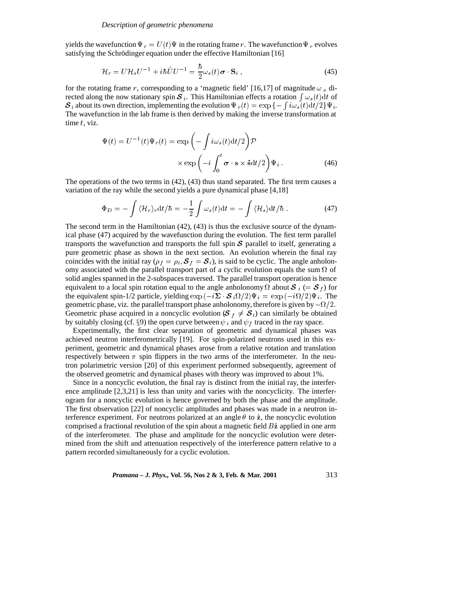yields the wavefunction  $\Psi_r = U(t)\Psi$  in the rotating frame r. The wavefunction  $\Psi_r$  evolves satisfying the Schrödinger equation under the effective Hamiltonian [16]

$$
\mathcal{H}_r = U \mathcal{H}_s U^{-1} + i\hbar \dot{U} U^{-1} = \frac{\hbar}{2} \omega_s(t) \boldsymbol{\sigma} \cdot \mathbf{S}_i , \qquad (45)
$$

for the rotating frame r, corresponding to a 'magnetic field' [16,17] of magnitude  $\omega_s$  directed along the now stationary spin  $\mathcal{S}_i$ . This Hamiltonian effects a rotation  $\int \omega_s(t) dt$  of  $S_i$  about its own direction, implementing the evolution  $\Psi_r(t) = \exp \left\{-\int i \omega_s(t) dt/2\right\} \Psi_i$ . The wavefunction in the lab frame is then derived by making the inverse transformation at time  $t$ , viz.

$$
\Psi(t) = U^{-1}(t)\Psi_r(t) = \exp\left(-\int i\omega_s(t)dt/2\right)\mathcal{P}
$$

$$
\times \exp\left(-i\int_0^t \boldsymbol{\sigma} \cdot \mathbf{s} \times \dot{\mathbf{s}}dt/2\right)\Psi_i.
$$
 (46)

The operations of the two terms in (42), (43) thus stand separated. The first term causes a variation of the ray while the second yields a pure dynamical phase [4,18]

$$
\Phi_D = -\int \langle \mathcal{H}_r \rangle_r \mathrm{d}t/\hbar = -\frac{1}{2} \int \omega_s(t) \mathrm{d}t = -\int \langle \mathcal{H}_s \rangle \mathrm{d}t/\hbar \,. \tag{47}
$$

The second term in the Hamiltonian (42), (43) is thus the exclusive source of the dynamical phase (47) acquired by the wavefunction during the evolution. The first term parallel transports the wavefunction and transports the full spin  $S$  parallel to itself, generating a pure geometric phase as shown in the next section. An evolution wherein the final ray coincides with the initial ray ( $\rho_f = \rho_i$ ,  $S_f = S_i$ ), is said to be cyclic. The angle anholonomy associated with the parallel transport part of a cyclic evolution equals the sum  $\Omega$  of solid angles spanned in the 2-subspaces traversed. The parallel transport operation is hence equivalent to a local spin rotation equal to the angle anholonomy  $\Omega$  about  $\mathcal{S}_i$  (=  $\mathcal{S}_f$ ) for the equivalent spin-1/2 particle, yielding  $\exp(-i\Sigma \cdot S_i \Omega/2) \Psi_i = \exp(-i\Omega/2) \Psi_i$ . The geometric phase, viz. the parallel transport phase anholonomy, therefore is given by  $-\Omega/2$ . Geometric phase acquired in a noncyclic evolution ( $S_f \neq S_i$ ) can similarly be obtained by suitably closing (cf. §9) the open curve between  $\psi_i$  and  $\psi_f$  traced in the ray space.

Experimentally, the first clear separation of geometric and dynamical phases was achieved neutron interferometrically [19]. For spin-polarized neutrons used in this experiment, geometric and dynamical phases arose from a relative rotation and translation respectively between  $\pi$  spin flippers in the two arms of the interferometer. In the neutron polarimetric version [20] of this experiment performed subsequently, agreement of the observed geometric and dynamical phases with theory was improved to about 1%.

Since in a noncyclic evolution, the final ray is distinct from the initial ray, the interference amplitude [2,3,21] is less than unity and varies with the noncyclicity. The interferogram for a noncyclic evolution is hence governed by both the phase and the amplitude. The first observation [22] of noncyclic amplitudes and phases was made in a neutron interference experiment. For neutrons polarized at an angle  $\theta$  to  $\hat{z}$ , the noncyclic evolution comprised a fractional revolution of the spin about a magnetic field  $B\hat{z}$  applied in one arm of the interferometer. The phase and amplitude for the noncyclic evolution were determined from the shift and attenuation respectively of the interference pattern relative to a pattern recorded simultaneously for a cyclic evolution.

*Pramana – J. Phys.,* **Vol. 56, Nos 2 & 3, Feb. & Mar. 2001** 313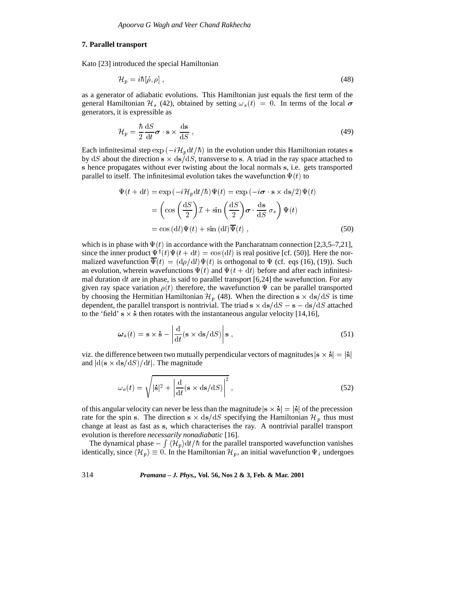# **7. Parallel transport**

Kato [23] introduced the special Hamiltonian

$$
\mathcal{H}_p = i\hbar[\dot{\rho}, \rho] \,,\tag{48}
$$

as a generator of adiabatic evolutions. This Hamiltonian just equals the first term of the general Hamiltonian  $\mathcal{H}_s$  (42), obtained by setting  $\omega_s(t) = 0$ . In terms of the local  $\sigma$ generators, it is expressible as

$$
\mathcal{H}_p = \frac{\hbar}{2} \frac{\mathrm{d}S}{\mathrm{d}t} \boldsymbol{\sigma} \cdot \mathbf{s} \times \frac{\mathrm{d}\mathbf{s}}{\mathrm{d}S} \,,\tag{49}
$$

Each infinitesimal step  $\exp(-i\mathcal{H}_p dt/\hbar)$  in the evolution under this Hamiltonian rotates s by dS about the direction  $s \times ds/dS$ , transverse to s. A triad in the ray space attached to <sup>s</sup> hence propagates without ever twisting about the local normals <sup>s</sup>, i.e. gets transported parallel to itself. The infinitesimal evolution takes the wavefunction  $\Psi(t)$  to

$$
\Psi(t + dt) = \exp(-i\mathcal{H}_p dt/\hbar)\Psi(t) = \exp(-i\sigma \cdot \mathbf{s} \times ds/2)\Psi(t)
$$

$$
= \left(\cos\left(\frac{dS}{2}\right)\mathcal{I} + \sin\left(\frac{dS}{2}\right)\sigma \cdot \frac{ds}{dS} \sigma_s\right)\Psi(t)
$$

$$
= \cos\left(\frac{dI}{2}\right)\Psi(t) + \sin\left(\frac{dI}{2}\right)\overline{\Psi}(t) , \tag{50}
$$

which is in phase with  $\Psi(t)$  in accordance with the Pancharatnam connection [2,3,5–7,21], since the inner product  $\Psi^{\dagger}(t)\Psi(t + dt) = \cos{(dt)}$  is real positive [cf. (50)]. Here the normalized wavefunction  $\overline{\Psi}(t) = (d\rho/dl)\Psi(t)$  is orthogonal to  $\Psi$  (cf. eqs (16), (19)). Such an evolution, wherein wavefunctions  $\Psi(t)$  and  $\Psi(t + dt)$  before and after each infinitesimal duration dt are in phase, is said to parallel transport  $[6,24]$  the wavefunction. For any given ray space variation  $\rho(t)$  therefore, the wavefunction  $\Psi$  can be parallel transported by choosing the Hermitian Hamiltonian  $\mathcal{H}_p$  (48). When the direction s  $\times$  ds/dS is time dependent, the parallel transport is nontrivial. The triad  $s \times ds/dS - s - ds/dS$  attached to the 'field' s  $\times$  s then rotates with the instantaneous angular velocity [14,16],

$$
\omega_a(t) = \mathbf{s} \times \dot{\mathbf{s}} - \left| \frac{d}{dt} (\mathbf{s} \times \mathrm{ds/d}S) \right| \mathbf{s} , \qquad (51)
$$

viz. the difference between two mutually perpendicular vectors of magnitudes  $|s \times \dot{s}| = |\dot{s}|$ and  $\left|d(s \times ds/dS)/dt\right|$ . The magnitude

$$
\omega_a(t) = \sqrt{|\dot{\mathbf{s}}|^2 + \left|\frac{\mathrm{d}}{\mathrm{d}t}(\mathbf{s} \times \mathrm{d}\mathbf{s}/\mathrm{d}S)\right|^2},\tag{52}
$$

of this angular velocity can never be less than the magnitude  $|s \times \dot{s}| = |\dot{s}|$  of the precession rate for the spin s. The direction s  $\times$  ds/dS specifying the Hamiltonian  $\mathcal{H}_p$  thus must change at least as fast as <sup>s</sup>, which characterises the ray. A nontrivial parallel transport evolution is therefore *necessarily nonadiabatic* [16].

The dynamical phase  $-\int \langle \mathcal{H}_p \rangle dt / \hbar$  f  $\int \langle \mathcal{H}_p \rangle dt / \hbar$  for the parallel transported wavefunction vanishes identically, since  $\langle \mathcal{H}_p \rangle \equiv 0$ . In the Hamiltonian  $\mathcal{H}_p$ , an initial wavefunction  $\Psi_i$  undergoes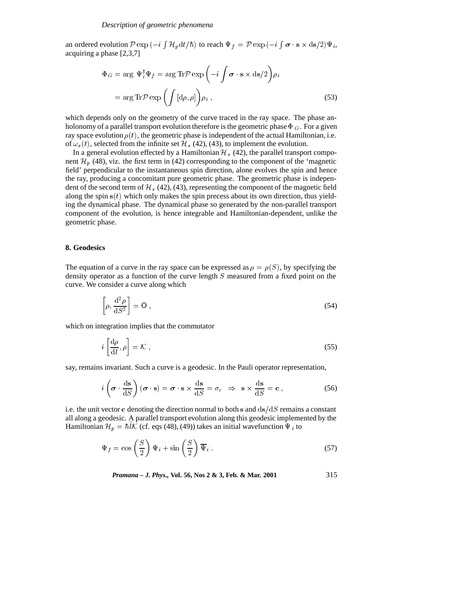an ordered evolution  $P \exp(-i \int \mathcal{H}_p dt/\hbar)$  to reach  $\Psi_f = P \exp(-i \int \boldsymbol{\sigma} \cdot \mathbf{s} \times d\mathbf{s}/2)\Psi_i$ , acquiring a phase [2,3,7]

$$
\Phi_G = \arg \Psi_i^{\dagger} \Psi_f = \arg \text{Tr} \mathcal{P} \exp \left( -i \int \boldsymbol{\sigma} \cdot \mathbf{s} \times d\mathbf{s}/2 \right) \rho_i
$$

$$
= \arg \text{Tr} \mathcal{P} \exp \left( \int \left[ d\rho, \rho \right] \right) \rho_i , \qquad (53)
$$

which depends only on the geometry of the curve traced in the ray space. The phase anholonomy of a parallel transport evolution therefore is the geometric phase  $\Phi_G$ . For a given ray space evolution  $\rho(t)$ , the geometric phase is independent of the actual Hamiltonian, i.e. of  $\omega_s(t)$ , selected from the infinite set  $\mathcal{H}_s$  (42), (43), to implement the evolution.

In a general evolution effected by a Hamiltonian  $\mathcal{H}_s$  (42), the parallel transport component  $\mathcal{H}_p$  (48), viz. the first term in (42) corresponding to the component of the 'magnetic field' perpendicular to the instantaneous spin direction, alone evolves the spin and hence the ray, producing a concomitant pure geometric phase. The geometric phase is independent of the second term of  $\mathcal{H}_s$  (42), (43), representing the component of the magnetic field along the spin  $s(t)$  which only makes the spin precess about its own direction, thus yielding the dynamical phase. The dynamical phase so generated by the non-parallel transport component of the evolution, is hence integrable and Hamiltonian-dependent, unlike the geometric phase.

## **8. Geodesics**

The equation of a curve in the ray space can be expressed as  $\rho = \rho(S)$ , by specifying the density operator as a function of the curve length <sup>S</sup> measured from a fixed point on the curve. We consider a curve along which

$$
\left[\rho, \frac{\mathrm{d}^2 \rho}{\mathrm{d} S^2}\right] = 0\,,\tag{54}
$$

which on integration implies that the commutator

$$
i\left[\frac{\mathrm{d}\rho}{\mathrm{d}l},\rho\right]=\mathcal{K}\,,\tag{55}
$$

say, remains invariant. Such a curve is a geodesic. In the Pauli operator representation,

$$
i\left(\boldsymbol{\sigma}\cdot\frac{\mathrm{d}\mathbf{s}}{\mathrm{d}S}\right)(\boldsymbol{\sigma}\cdot\mathbf{s})=\boldsymbol{\sigma}\cdot\mathbf{s}\times\frac{\mathrm{d}\mathbf{s}}{\mathrm{d}S}=\sigma_c\Rightarrow\mathbf{s}\times\frac{\mathrm{d}\mathbf{s}}{\mathrm{d}S}=\mathbf{c}\,,\tag{56}
$$

i.e. the unit vector c denoting the direction normal to both s and  $ds/dS$  remains a constant all along a geodesic. A parallel transport evolution along this geodesic implemented by the Hamiltonian  $\mathcal{H}_p = \hbar l \mathcal{K}$  (cf. eqs (48), (49)) takes an initial wavefunction  $\Psi_i$  to

$$
\Psi_f = \cos\left(\frac{S}{2}\right)\Psi_i + \sin\left(\frac{S}{2}\right)\overline{\Psi}_i.
$$
\n(57)

*Pramana – J. Phys.,* **Vol. 56, Nos 2 & 3, Feb. & Mar. 2001** 315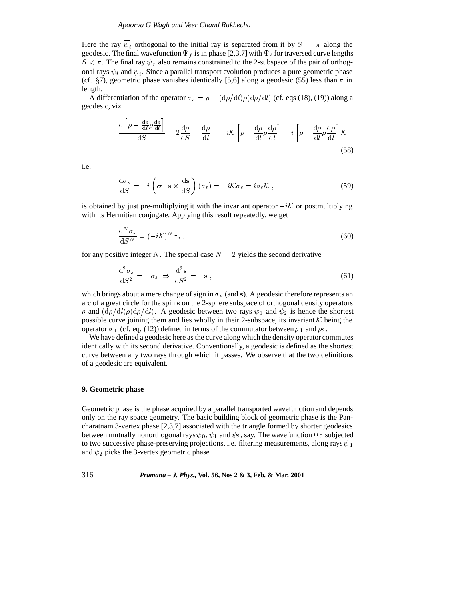## *Apoorva G Wagh and Veer Chand Rakhecha*

Here the ray  $\psi_i$  orthogonal to the initial ray is separated from it by  $S = \pi$  along the geodesic. The final wavefunction  $\Psi_f$  is in phase [2,3,7] with  $\Psi_i$  for traversed curve lengths  $S < \pi$ . The final ray  $\psi_f$  also remains constrained to the 2-subspace of the pair of orthogonal rays  $\psi_i$  and  $\overline{\psi}_i$ . Since a parallel transport evolution produces a pure geometric phase (cf.  $\S$ 7), geometric phase vanishes identically [5,6] along a geodesic (55) less than  $\pi$  in length.

A differentiation of the operator  $\sigma_s = \rho - (d\rho/dl)\rho(d\rho/dl)$  (cf. eqs (18), (19)) along a geodesic, viz.

$$
\frac{\mathrm{d}\left[\rho - \frac{\mathrm{d}\rho}{\mathrm{d}l}\rho\frac{\mathrm{d}\rho}{\mathrm{d}l}\right]}{\mathrm{d}S} = 2\frac{\mathrm{d}\rho}{\mathrm{d}S} = \frac{\mathrm{d}\rho}{\mathrm{d}l} = -i\mathcal{K}\left[\rho - \frac{\mathrm{d}\rho}{\mathrm{d}l}\rho\frac{\mathrm{d}\rho}{\mathrm{d}l}\right] = i\left[\rho - \frac{\mathrm{d}\rho}{\mathrm{d}l}\rho\frac{\mathrm{d}\rho}{\mathrm{d}l}\right]\mathcal{K}\,,\tag{58}
$$

i.e.

$$
\frac{\mathrm{d}\sigma_s}{\mathrm{d}S} = -i \left( \boldsymbol{\sigma} \cdot \mathbf{s} \times \frac{\mathrm{d}\mathbf{s}}{\mathrm{d}S} \right) (\sigma_s) = -i \mathcal{K} \sigma_s = i \sigma_s \mathcal{K} , \qquad (59)
$$

is obtained by just pre-multiplying it with the invariant operator  $-i\mathcal{K}$  or postmultiplying with its Hermitian conjugate. Applying this result repeatedly, we get

$$
\frac{\mathrm{d}^N \sigma_s}{\mathrm{d} S^N} = (-i\mathcal{K})^N \sigma_s \,,\tag{60}
$$

for any positive integer N. The special case  $N = 2$  yields the second derivative

$$
\frac{\mathrm{d}^2 \sigma_s}{\mathrm{d} S^2} = -\sigma_s \Rightarrow \frac{\mathrm{d}^2 \mathbf{s}}{\mathrm{d} S^2} = -\mathbf{s} \,,\tag{61}
$$

which brings about a mere change of sign in  $\sigma_s$  (and s). A geodesic therefore represents an arc of a great circle for the spin <sup>s</sup> on the 2-sphere subspace of orthogonal density operators  $\rho$  and  $(d\rho/dl)\rho(d\rho/dl)$ . A geodesic between two rays  $\psi_1$  and  $\psi_2$  is hence the shortest possible curve joining them and lies wholly in their 2-subspace, its invariant  $K$  being the operator  $\sigma_{\perp}$  (cf. eq. (12)) defined in terms of the commutator between  $\rho_1$  and  $\rho_2$ .

We have defined a geodesic here as the curve along which the density operator commutes identically with its second derivative. Conventionally, a geodesic is defined as the shortest curve between any two rays through which it passes. We observe that the two definitions of a geodesic are equivalent.

#### **9. Geometric phase**

Geometric phase is the phase acquired by a parallel transported wavefunction and depends only on the ray space geometry. The basic building block of geometric phase is the Pancharatnam 3-vertex phase [2,3,7] associated with the triangle formed by shorter geodesics between mutually nonorthogonal rays  $\psi_0$ ,  $\psi_1$  and  $\psi_2$ , say. The wavefunction  $\Psi_0$  subjected to two successive phase-preserving projections, i.e. filtering measurements, along rays  $\psi_1$ and  $\psi_2$  picks the 3-vertex geometric phase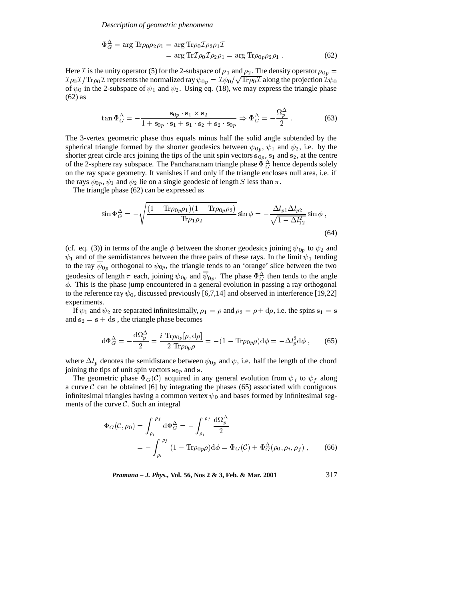*Description of geometric phenomena*

$$
\Phi_G^{\Delta} = \arg \text{Tr} \rho_0 \rho_2 \rho_1 = \arg \text{Tr} \rho_0 \mathcal{I} \rho_2 \rho_1 \mathcal{I}
$$
  
= 
$$
\arg \text{Tr} \mathcal{I} \rho_0 \mathcal{I} \rho_2 \rho_1 = \arg \text{Tr} \rho_0 \rho_2 \rho_1 .
$$
 (62)

Here *I* is the unity operator (5) for the 2-subspace of  $\rho_1$  and  $\rho_2$ . The density operator  $\rho_{0p} =$  $\mathcal{I} \rho_0 \mathcal{I} / {\rm Tr} \rho_0 \mathcal{I}$  represents the normalized ray  $\psi_{0p} = \mathcal{I} \psi_0 / \sqrt{{\rm Tr} \rho_0 \mathcal{I}}$  along the projection  $\mathcal{I} \psi_0$ of  $\psi_0$  in the 2-subspace of  $\psi_1$  and  $\psi_2$ . Using eq. (18), we may express the triangle phase (62) as

$$
\tan \Phi_G^{\Delta} = -\frac{\mathbf{s}_{0p} \cdot \mathbf{s}_1 \times \mathbf{s}_2}{1 + \mathbf{s}_{0p} \cdot \mathbf{s}_1 + \mathbf{s}_1 \cdot \mathbf{s}_2 + \mathbf{s}_2 \cdot \mathbf{s}_{0p}} \Rightarrow \Phi_G^{\Delta} = -\frac{\Omega_p^{\Delta}}{2} \,. \tag{63}
$$

The 3-vertex geometric phase thus equals minus half the solid angle subtended by the spherical triangle formed by the shorter geodesics between  $\psi_{0p}$ ,  $\psi_1$  and  $\psi_2$ , i.e. by the shorter great circle arcs joining the tips of the unit spin vectors  $s_{0p}$ ,  $s_1$  and  $s_2$ , at the centre of the 2-sphere ray subspace. The Pancharatnam triangle phase  $\Phi_G^{\Delta}$  hence depends solely on the ray space geometry. It vanishes if and only if the triangle encloses null area, i.e. if the rays  $\psi_{0p}$ ,  $\psi_1$  and  $\psi_2$  lie on a single geodesic of length S less than  $\pi$ .

The triangle phase (62) can be expressed as

$$
\sin \Phi_G^{\Delta} = -\sqrt{\frac{(1 - \text{Tr}\rho_{0p}\rho_1)(1 - \text{Tr}\rho_{0p}\rho_2)}{\text{Tr}\rho_1 \rho_2}} \sin \phi = -\frac{\Delta l_{p1} \Delta l_{p2}}{\sqrt{1 - \Delta l_{12}^2}} \sin \phi ,
$$
\n(64)

(cf. eq. (3)) in terms of the angle  $\phi$  between the shorter geodesics joining  $\psi_{0p}$  to  $\psi_2$  and  $\psi_1$  and of the semidistances between the three pairs of these rays. In the limit  $\psi_1$  tending to the ray  $\psi_{0p}$  orthogonal to  $\psi_{0p}$ , the triangle tends to an 'orange' slice between the two geodesics of length  $\pi$  each, joining  $\psi_{0p}$  and  $\psi_{0p}$ . The phase  $\Phi_G^{\Delta}$  then tends to the angle  $\phi$ . This is the phase jump encountered in a general evolution in passing a ray orthogonal to the reference ray  $\psi_0$ , discussed previously [6,7,14] and observed in interference [19,22] experiments.

If  $\psi_1$  and  $\psi_2$  are separated infinitesimally,  $\rho_1 = \rho$  and  $\rho_2 = \rho + d\rho$ , i.e. the spins  $s_1 = s$ and  $s_2 = s + ds$ , the triangle phase becomes

$$
\mathrm{d}\Phi_G^{\Delta} = -\frac{\mathrm{d}\Omega_p^{\Delta}}{2} = \frac{i \operatorname{Tr}\rho_{0p}[\rho, \mathrm{d}\rho]}{2 \operatorname{Tr}\rho_{0p}\rho} = -(1 - \operatorname{Tr}\rho_{0p}\rho)\mathrm{d}\phi = -\Delta l_p^2 \mathrm{d}\phi \;, \tag{65}
$$

where  $\Delta l_p$  denotes the semidistance between  $\psi_{0p}$  and  $\psi$ , i.e. half the length of the chord joining the tips of unit spin vectors  $s_{0p}$  and s.

The geometric phase  $\Phi_G(\mathcal{C})$  acquired in any general evolution from  $\psi_i$  to  $\psi_f$  along a curve  $\mathcal C$  can be obtained [6] by integrating the phases (65) associated with contiguous infinitesimal triangles having a common vertex  $\psi_0$  and bases formed by infinitesimal segments of the curve  $C$ . Such an integral

$$
\Phi_G(\mathcal{C}, \rho_0) = \int_{\rho_i}^{\rho_f} d\Phi_G^{\Delta} = -\int_{\rho_i}^{\rho_f} \frac{d\Omega_p^{\Delta}}{2}
$$
  
= 
$$
-\int_{\rho_i}^{\rho_f} (1 - \text{Tr}\rho_{0p}\rho) d\phi = \Phi_G(\mathcal{C}) + \Phi_G^{\Delta}(\rho_0, \rho_i, \rho_f),
$$
 (66)

*Pramana – J. Phys.,* **Vol. 56, Nos 2 & 3, Feb. & Mar. 2001** 317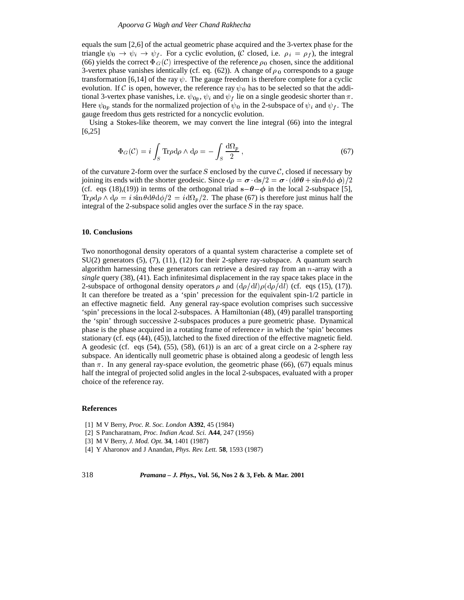## *Apoorva G Wagh and Veer Chand Rakhecha*

equals the sum [2,6] of the actual geometric phase acquired and the 3-vertex phase for the triangle  $\psi_0 \to \psi_i \to \psi_f$ . For a cyclic evolution, (C closed, i.e.  $\rho_i = \rho_f$ ), the integral (66) yields the correct  $\Phi_G(\mathcal{C})$  irrespective of the reference  $\rho_0$  chosen, since the additional 3-vertex phase vanishes identically (cf. eq. (62)). A change of  $\rho_0$  corresponds to a gauge transformation [6,14] of the ray  $\psi$ . The gauge freedom is therefore complete for a cyclic evolution. If C is open, however, the reference ray  $\psi_0$  has to be selected so that the additional 3-vertex phase vanishes, i.e.  $\psi_{0p}$ ,  $\psi_i$  and  $\psi_f$  lie on a single geodesic shorter than  $\pi$ . Here  $\psi_{0p}$  stands for the normalized projection of  $\psi_0$  in the 2-subspace of  $\psi_i$  and  $\psi_f$ . The gauge freedom thus gets restricted for a noncyclic evolution.

Using a Stokes-like theorem, we may convert the line integral (66) into the integral [6,25]

$$
\Phi_G(\mathcal{C}) = i \int_S \text{Tr} \rho \, d\rho \wedge d\rho = - \int_S \frac{d\Omega_p}{2} \,, \tag{67}
$$

of the curvature 2-form over the surface S enclosed by the curve  $C$ , closed if necessary by joining its ends with the shorter geodesic. Since  $d\rho = \sigma \cdot ds/2 = \sigma \cdot (d\theta \theta + \sin \theta d\phi \phi)/2$ (cf. eqs (18),(19)) in terms of the orthogonal triad  $s - \theta - \phi$  in the local 2-subspace [5],  $\text{Tr}\rho \text{d}\rho \wedge \text{d}\rho = i \sin \theta \text{d}\theta \text{d}\phi/2 = i \text{d}\Omega_p/2$ . The phase (67) is therefore just minus half the integral of the 2-subspace solid angles over the surface <sup>S</sup> in the ray space.

## **10. Conclusions**

Two nonorthogonal density operators of a quantal system characterise a complete set of SU(2) generators (5), (7), (11), (12) for their 2-sphere ray-subspace. A quantum search algorithm harnessing these generators can retrieve a desired ray from an  $n$ -array with a *single* query (38), (41). Each infinitesimal displacement in the ray space takes place in the 2-subspace of orthogonal density operators  $\rho$  and  $(d\rho/dl)\rho(d\rho/dl)$  (cf. eqs (15), (17)). It can therefore be treated as a 'spin' precession for the equivalent spin-1/2 particle in an effective magnetic field. Any general ray-space evolution comprises such successive 'spin' precessions in the local 2-subspaces. A Hamiltonian (48), (49) parallel transporting the 'spin' through successive 2-subspaces produces a pure geometric phase. Dynamical phase is the phase acquired in a rotating frame of reference  $r$  in which the 'spin' becomes stationary (cf. eqs (44), (45)), latched to the fixed direction of the effective magnetic field. A geodesic (cf. eqs (54), (55), (58), (61)) is an arc of a great circle on a 2-sphere ray subspace. An identically null geometric phase is obtained along a geodesic of length less than  $\pi$ . In any general ray-space evolution, the geometric phase (66), (67) equals minus half the integral of projected solid angles in the local 2-subspaces, evaluated with a proper choice of the reference ray.

## **References**

- [1] M V Berry, *Proc. R. Soc. London* **A392**, 45 (1984)
- [2] S Pancharatnam, *Proc. Indian Acad. Sci.* **A44**, 247 (1956)
- [3] M V Berry, *J. Mod. Opt.* **34**, 1401 (1987)
- [4] Y Aharonov and J Anandan, *Phys. Rev. Lett.* **58**, 1593 (1987)